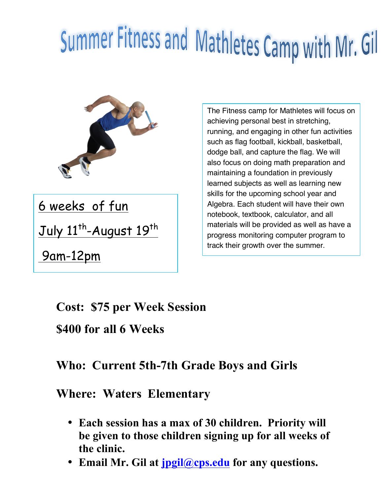## Summer Fitness and Mathletes Camp with Mr. Gil



6 weeks of fun July 11<sup>th</sup>-August 19<sup>th</sup>

9am-12pm

The Fitness camp for Mathletes will focus on achieving personal best in stretching, running, and engaging in other fun activities such as flag football, kickball, basketball, dodge ball, and capture the flag. We will also focus on doing math preparation and maintaining a foundation in previously learned subjects as well as learning new skills for the upcoming school year and Algebra. Each student will have their own notebook, textbook, calculator, and all materials will be provided as well as have a progress monitoring computer program to track their growth over the summer.

**Cost: \$75 per Week Session**

**\$400 for all 6 Weeks**

## **Who: Current 5th-7th Grade Boys and Girls**

**Where: Waters Elementary**

- **Each session has a max of 30 children. Priority will be given to those children signing up for all weeks of the clinic.**
- **Email Mr. Gil at jpgil@cps.edu for any questions.**